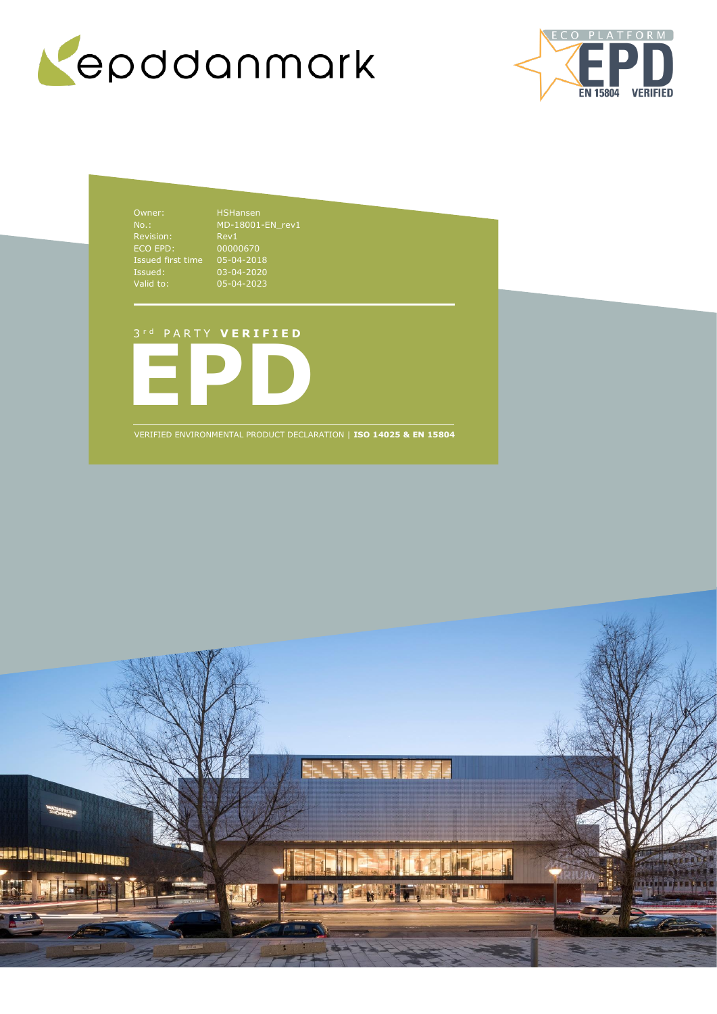



Owner: HSHansen No.: Revision: Rev1 ECO EPD: 00000670 Issued first time 05-04-2018 Issued: 03-04-2020 Valid to: 05-04-2023

## 3 r d P A R T Y **V E R I F I E D**



VERIFIED ENVIRONMENTAL PRODUCT DECLARATION | **ISO 14025 & EN 15804**

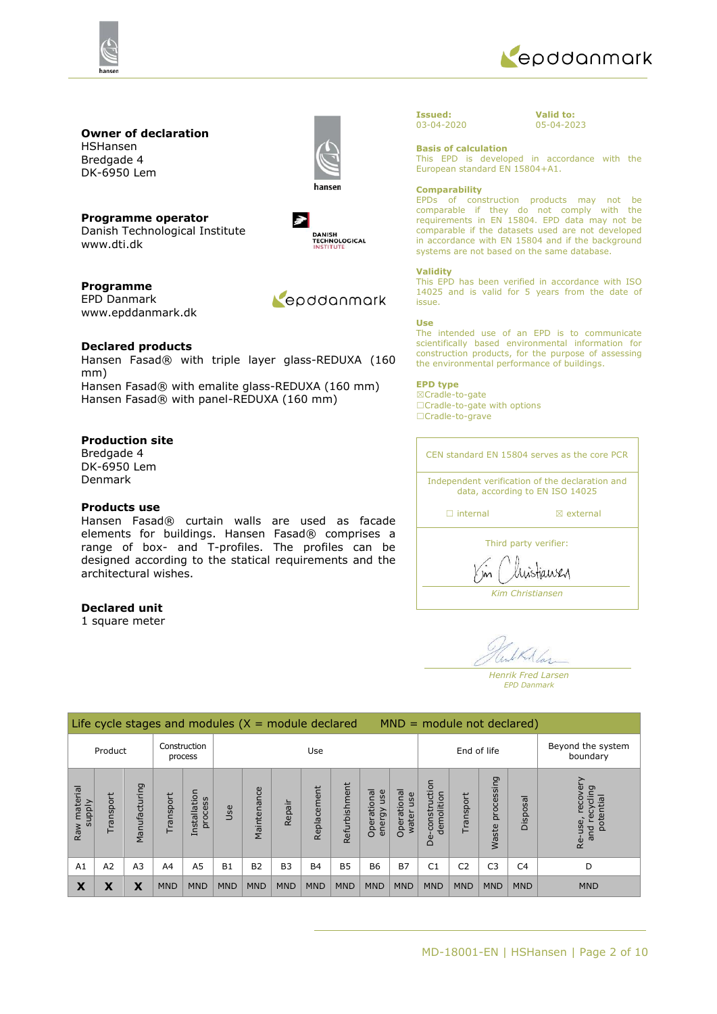



#### **Owner of declaration** HSHansen

Bredgade 4 DK-6950 Lem



**Programme operator** Danish Technological Institute www.dti.dk

 $\rightarrow$ DANISH<br>TECHNOLOGICAL<br>INSTITUTE

**Programme** EPD Danmark www.epddanmark.dk



### **Declared products**

Hansen Fasad® with triple layer glass-REDUXA (160 mm) Hansen Fasad® with emalite glass-REDUXA (160 mm) Hansen Fasad® with panel-REDUXA (160 mm)

### **Production site**

Bredgade 4 DK-6950 Lem Denmark

### **Products use**

Hansen Fasad® curtain walls are used as facade elements for buildings. Hansen Fasad® comprises a range of box- and T-profiles. The profiles can be designed according to the statical requirements and the architectural wishes.

### **Declared unit**

1 square meter



**Valid to:** 05-04-2023

### **Basis of calculation**

This EPD is developed in accordance with the European standard EN 15804+A1.

#### **Comparability**

EPDs of construction products may not be comparable if they do not comply with the requirements in EN 15804. EPD data may not be comparable if the datasets used are not developed in accordance with EN 15804 and if the background systems are not based on the same database.

#### **Validity**

This EPD has been verified in accordance with ISO 14025 and is valid for 5 years from the date of issue.

#### **Use**

The intended use of an EPD is to communicate scientifically based environmental information for construction products, for the purpose of assessing the environmental performance of buildings.

#### **EPD type**

☒Cradle-to-gate ☐Cradle-to-gate with options ☐Cradle-to-grave

CEN standard EN 15804 serves as the core PCR Independent verification of the declaration and data, according to EN ISO 14025 □ internal **a** external

Third party verifier:

histiansen

*Kim Christiansen*

Mas

*Henrik Fred Larsen EPD Danmark*

| Life cycle stages and modules $(X = $ module declared<br>$MND = module not declared)$ |                |                |            |                         |            |                |                |             |               |                              |                               |                                                            |                |                     |                |                                                        |
|---------------------------------------------------------------------------------------|----------------|----------------|------------|-------------------------|------------|----------------|----------------|-------------|---------------|------------------------------|-------------------------------|------------------------------------------------------------|----------------|---------------------|----------------|--------------------------------------------------------|
| Product                                                                               |                | Construction   | process    | Use                     |            |                |                | End of life |               |                              | Beyond the system<br>boundary |                                                            |                |                     |                |                                                        |
| Raw material<br>Ylddns                                                                | Transport      | Manufacturing  | Fransport  | Installation<br>process | Jse        | Maintenance    | Repair         | Replacement | Refurbishment | Operational<br>use<br>energy | Operational<br>use<br>water   | construction<br>demolition<br>$\mathbf \omega$<br>$\Omega$ | Transport      | processing<br>Waste | Disposal       | recove<br>cling<br>potential<br>recy<br>Re-use,<br>and |
| A1                                                                                    | A <sub>2</sub> | A <sub>3</sub> | A4         | A5                      | <b>B1</b>  | B <sub>2</sub> | B <sub>3</sub> | <b>B4</b>   | <b>B5</b>     | <b>B6</b>                    | <b>B7</b>                     | C1                                                         | C <sub>2</sub> | C <sub>3</sub>      | C <sub>4</sub> | D                                                      |
| X                                                                                     | χ              | X              | <b>MND</b> | <b>MND</b>              | <b>MND</b> | <b>MND</b>     | <b>MND</b>     | <b>MND</b>  | <b>MND</b>    | <b>MND</b>                   | <b>MND</b>                    | <b>MND</b>                                                 | <b>MND</b>     | <b>MND</b>          | <b>MND</b>     | <b>MND</b>                                             |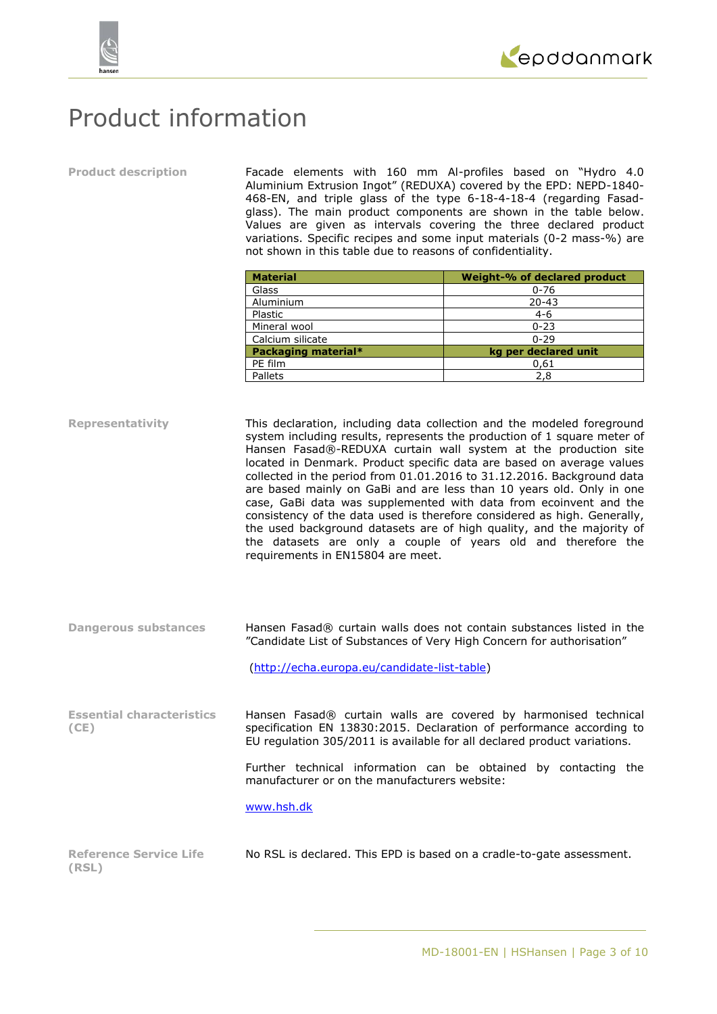

## Product information

**Product description** Facade elements with 160 mm Al-profiles based on "Hydro 4.0 Aluminium Extrusion Ingot" (REDUXA) covered by the EPD: NEPD-1840- 468-EN, and triple glass of the type 6-18-4-18-4 (regarding Fasadglass). The main product components are shown in the table below. Values are given as intervals covering the three declared product variations. Specific recipes and some input materials (0-2 mass-%) are not shown in this table due to reasons of confidentiality.

| <b>Material</b>     | Weight-% of declared product |
|---------------------|------------------------------|
| Glass               | $0 - 76$                     |
| Aluminium           | $20 - 43$                    |
| Plastic             | $4 - 6$                      |
| Mineral wool        | $0 - 23$                     |
| Calcium silicate    | $0 - 29$                     |
| Packaging material* | kg per declared unit         |
| PE film             | 0,61                         |
| Pallets             | 2,8                          |

**Representativity** This declaration, including data collection and the modeled foreground system including results, represents the production of 1 square meter of Hansen Fasad®-REDUXA curtain wall system at the production site located in Denmark. Product specific data are based on average values collected in the period from 01.01.2016 to 31.12.2016. Background data are based mainly on GaBi and are less than 10 years old. Only in one case, GaBi data was supplemented with data from ecoinvent and the consistency of the data used is therefore considered as high. Generally, the used background datasets are of high quality, and the majority of the datasets are only a couple of years old and therefore the requirements in EN15804 are meet.

**Dangerous substances** Hansen Fasad® curtain walls does not contain substances listed in the "Candidate List of Substances of Very High Concern for authorisation"

[\(http://echa.europa.eu/candidate-list-table\)](http://echa.europa.eu/candidate-list-table)

**Essential characteristics (CE)** Hansen Fasad® curtain walls are covered by harmonised technical specification EN 13830:2015. Declaration of performance according to EU regulation 305/2011 is available for all declared product variations.

> Further technical information can be obtained by contacting the manufacturer or on the manufacturers website:

[www.hsh.dk](http://www.hsh.dk/)

| <b>Reference Service Life</b> | No RSL is declared. This EPD is based on a cradle-to-gate assessment. |  |  |
|-------------------------------|-----------------------------------------------------------------------|--|--|
| (RSL)                         |                                                                       |  |  |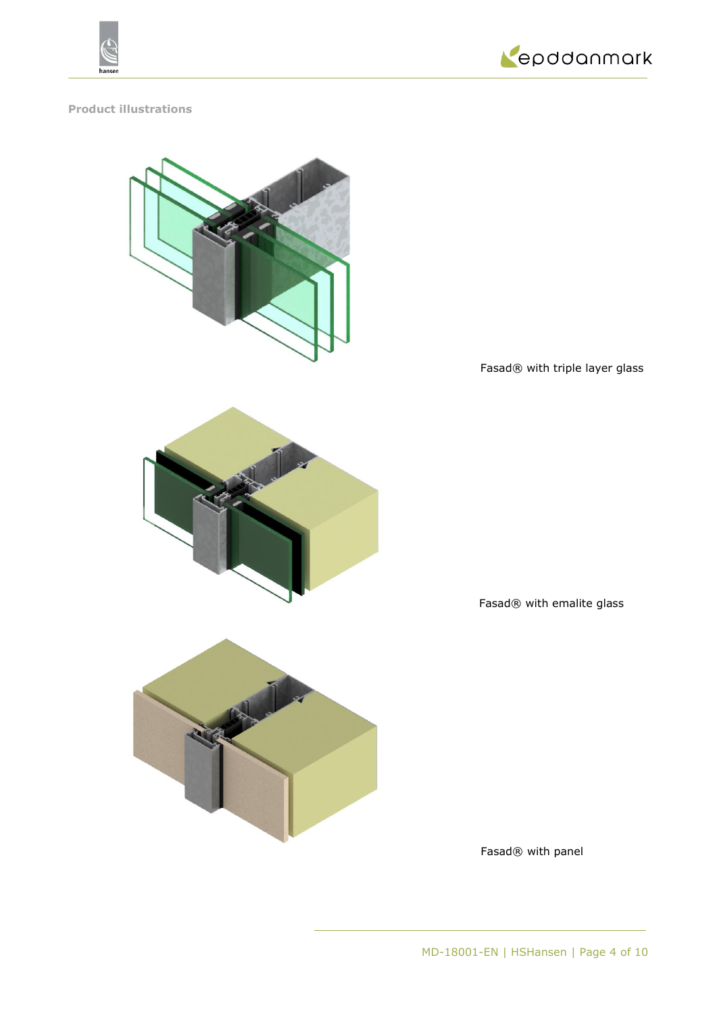



## **Product illustrations**



Fasad® with triple layer glass



Fasad® with emalite glass



Fasad® with panel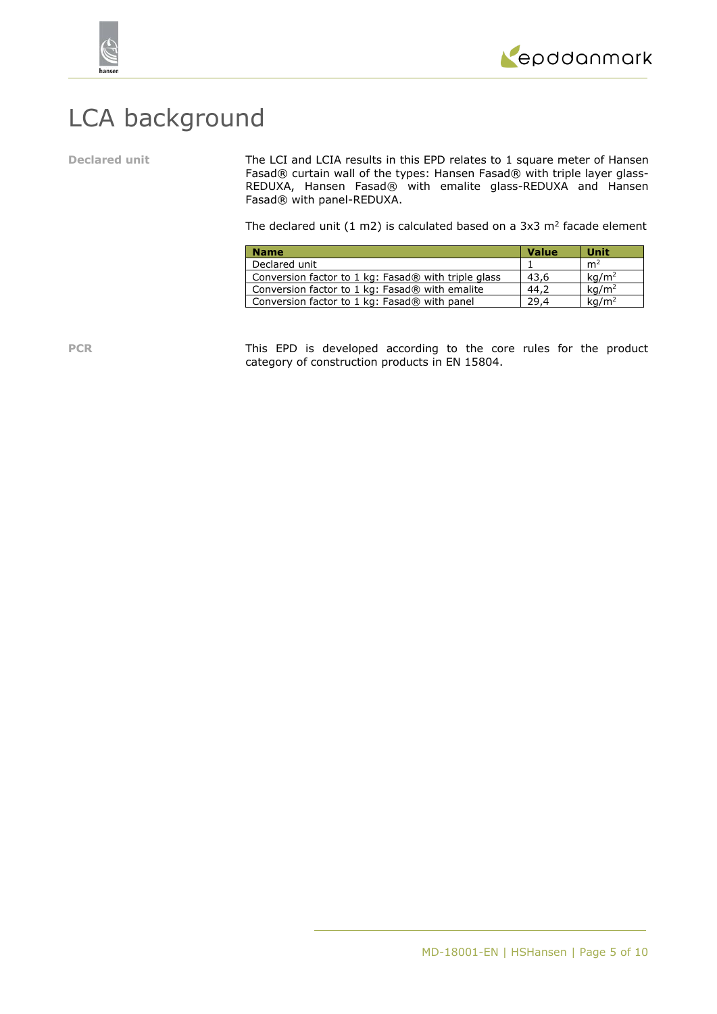

# LCA background

**Declared unit** The LCI and LCIA results in this EPD relates to 1 square meter of Hansen Fasad® curtain wall of the types: Hansen Fasad® with triple layer glass-REDUXA, Hansen Fasad® with emalite glass-REDUXA and Hansen Fasad® with panel-REDUXA.

The declared unit (1 m2) is calculated based on a 3x3 m<sup>2</sup> facade element

| <b>Name</b>                                         | <b>Value</b> | <b>Unit</b>       |
|-----------------------------------------------------|--------------|-------------------|
| Declared unit                                       |              | m <sup>2</sup>    |
| Conversion factor to 1 kg: Fasad® with triple glass | 43.6         | kg/m <sup>2</sup> |
| Conversion factor to 1 kg: Fasad® with emalite      | 44.2         | $\text{ka/m}^2$   |
| Conversion factor to 1 kg: Fasad® with panel        | 29.4         | kq/m <sup>2</sup> |

PCR This EPD is developed according to the core rules for the product category of construction products in EN 15804.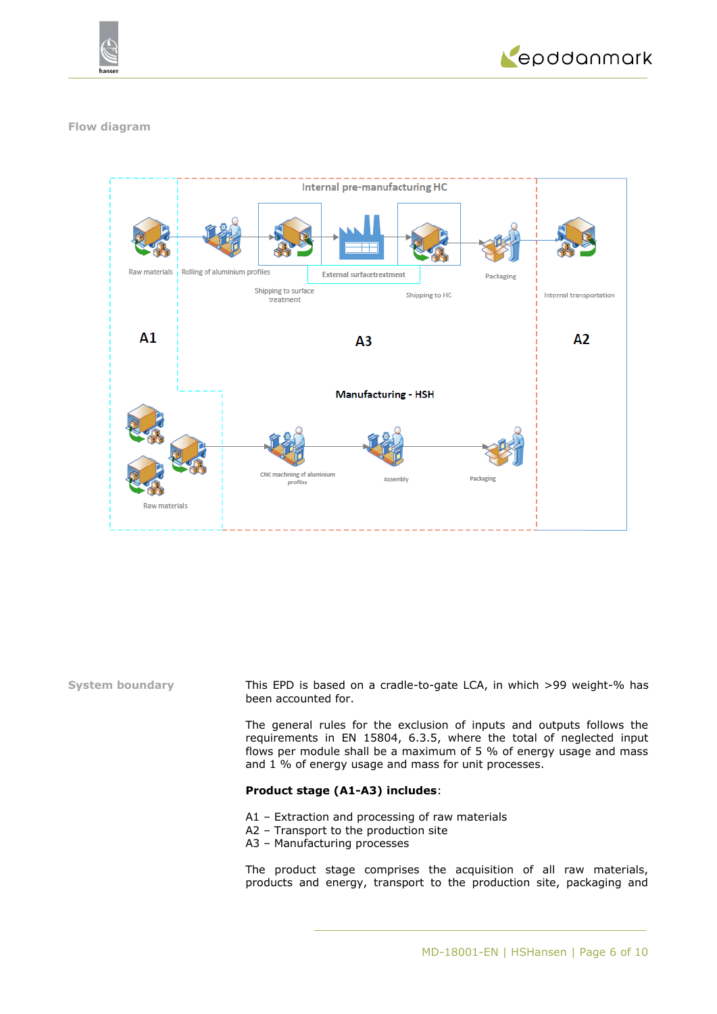



### **Flow diagram**



**System boundary** This EPD is based on a cradle-to-gate LCA, in which >99 weight-% has been accounted for.

> The general rules for the exclusion of inputs and outputs follows the requirements in EN 15804, 6.3.5, where the total of neglected input flows per module shall be a maximum of 5 % of energy usage and mass and 1 % of energy usage and mass for unit processes.

### **Product stage (A1-A3) includes**:

- A1 Extraction and processing of raw materials
- A2 Transport to the production site
- A3 Manufacturing processes

The product stage comprises the acquisition of all raw materials, products and energy, transport to the production site, packaging and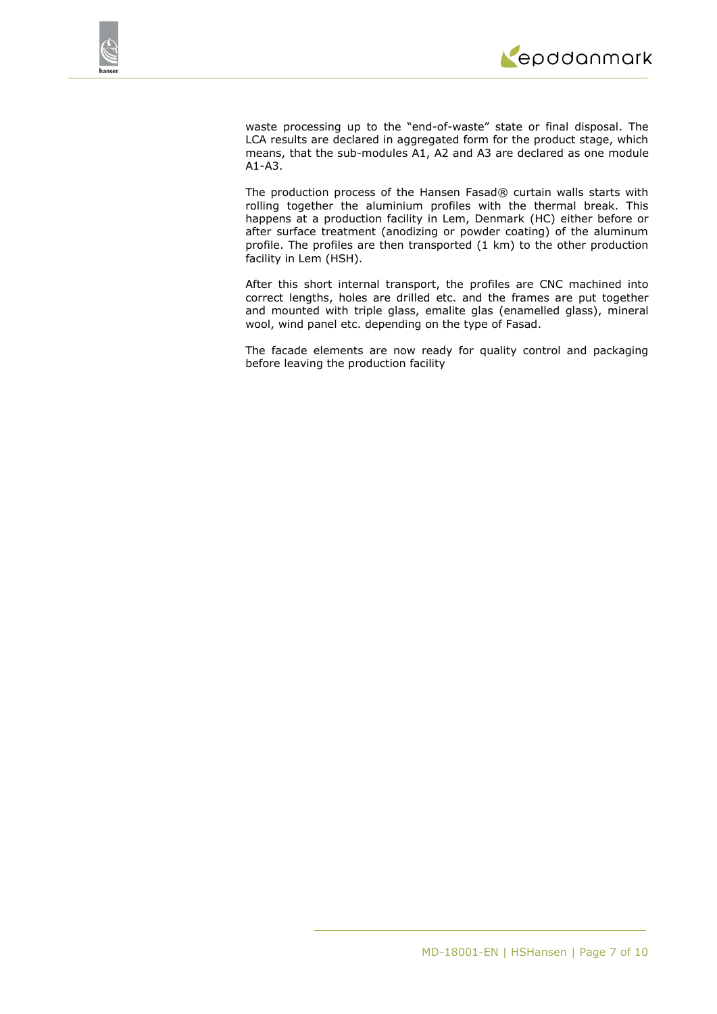

waste processing up to the "end-of-waste" state or final disposal. The LCA results are declared in aggregated form for the product stage, which means, that the sub-modules A1, A2 and A3 are declared as one module A1-A3.

The production process of the Hansen Fasad® curtain walls starts with rolling together the aluminium profiles with the thermal break. This happens at a production facility in Lem, Denmark (HC) either before or after surface treatment (anodizing or powder coating) of the aluminum profile. The profiles are then transported (1 km) to the other production facility in Lem (HSH).

After this short internal transport, the profiles are CNC machined into correct lengths, holes are drilled etc. and the frames are put together and mounted with triple glass, emalite glas (enamelled glass), mineral wool, wind panel etc. depending on the type of Fasad.

The facade elements are now ready for quality control and packaging before leaving the production facility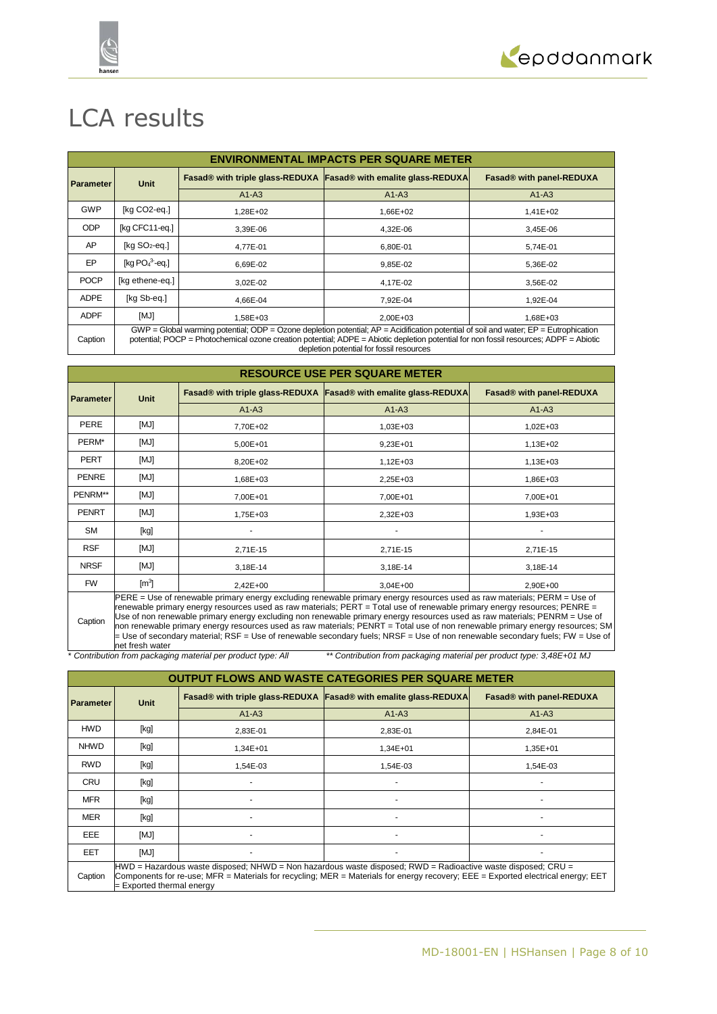



## LCA results

|                  | <b>ENVIRONMENTAL IMPACTS PER SQUARE METER</b>                                                                                                                                                                                                                                                                                   |              |                                                                    |                          |  |  |  |
|------------------|---------------------------------------------------------------------------------------------------------------------------------------------------------------------------------------------------------------------------------------------------------------------------------------------------------------------------------|--------------|--------------------------------------------------------------------|--------------------------|--|--|--|
| <b>Parameter</b> | <b>Unit</b>                                                                                                                                                                                                                                                                                                                     |              | Fasad® with triple glass-REDUXA   Fasad® with emalite glass-REDUXA | Fasad® with panel-REDUXA |  |  |  |
|                  |                                                                                                                                                                                                                                                                                                                                 | $A1-A3$      | $A1-A3$                                                            | $A1-A3$                  |  |  |  |
| GWP              | [kg CO2-eq.]                                                                                                                                                                                                                                                                                                                    | $1.28E + 02$ | 1,66E+02                                                           | 1,41E+02                 |  |  |  |
| <b>ODP</b>       | [kg CFC11-eq.]                                                                                                                                                                                                                                                                                                                  | 3,39E-06     | 4,32E-06                                                           | 3,45E-06                 |  |  |  |
| AP               | [ $kg SO2-eq.$ ]                                                                                                                                                                                                                                                                                                                | 4.77E-01     | 6.80E-01                                                           | 5.74E-01                 |  |  |  |
| EP               | [kg $PO43$ -eg.]                                                                                                                                                                                                                                                                                                                | 6,69E-02     | 9,85E-02                                                           | 5,36E-02                 |  |  |  |
| <b>POCP</b>      | [kg ethene-eq.]                                                                                                                                                                                                                                                                                                                 | 3.02E-02     | 4,17E-02                                                           | 3,56E-02                 |  |  |  |
| <b>ADPE</b>      | [kg Sb-eg.]                                                                                                                                                                                                                                                                                                                     | 4.66E-04     | 7,92E-04                                                           | 1,92E-04                 |  |  |  |
| <b>ADPF</b>      | [MJ]                                                                                                                                                                                                                                                                                                                            | $1.58E + 03$ | $2.00E + 03$                                                       | 1,68E+03                 |  |  |  |
| Caption          | $GWP = Global$ warming potential; ODP = Ozone depletion potential; $AP =$ Acidification potential of soil and water; $EP =$ Eutrophication<br>potential; POCP = Photochemical ozone creation potential; ADPE = Abiotic depletion potential for non fossil resources; ADPF = Abiotic<br>depletion potential for fossil resources |              |                                                                    |                          |  |  |  |

| <b>RESOURCE USE PER SQUARE METER</b> |                                                                                                                                                                                                                                                                                                                                                                            |            |                                                                  |                          |  |  |
|--------------------------------------|----------------------------------------------------------------------------------------------------------------------------------------------------------------------------------------------------------------------------------------------------------------------------------------------------------------------------------------------------------------------------|------------|------------------------------------------------------------------|--------------------------|--|--|
| <b>Parameter</b>                     | <b>Unit</b>                                                                                                                                                                                                                                                                                                                                                                |            | Fasad® with triple glass-REDUXA Fasad® with emalite glass-REDUXA | Fasad® with panel-REDUXA |  |  |
|                                      |                                                                                                                                                                                                                                                                                                                                                                            | $A1-A3$    | $A1-A3$                                                          | $A1-A3$                  |  |  |
| <b>PERE</b>                          | [MJ]                                                                                                                                                                                                                                                                                                                                                                       | 7,70E+02   | $1,03E+03$                                                       | $1,02E+03$               |  |  |
| PERM*                                | [MJ]                                                                                                                                                                                                                                                                                                                                                                       | $5,00E+01$ | $9,23E+01$                                                       | 1,13E+02                 |  |  |
| <b>PERT</b>                          | [MJ]                                                                                                                                                                                                                                                                                                                                                                       | 8,20E+02   | $1,12E+03$                                                       | 1,13E+03                 |  |  |
| <b>PENRE</b>                         | [MJ]                                                                                                                                                                                                                                                                                                                                                                       | 1,68E+03   | $2,25E+03$                                                       | 1,86E+03                 |  |  |
| PENRM**                              | [MJ]                                                                                                                                                                                                                                                                                                                                                                       | 7,00E+01   | 7,00E+01                                                         | 7,00E+01                 |  |  |
| <b>PENRT</b>                         | [MJ]                                                                                                                                                                                                                                                                                                                                                                       | 1,75E+03   | $2,32E+03$                                                       | 1,93E+03                 |  |  |
| <b>SM</b>                            | [kg]                                                                                                                                                                                                                                                                                                                                                                       |            |                                                                  |                          |  |  |
| <b>RSF</b>                           | [MJ]                                                                                                                                                                                                                                                                                                                                                                       | 2,71E-15   | 2,71E-15                                                         | 2,71E-15                 |  |  |
| <b>NRSF</b>                          | [MJ]                                                                                                                                                                                                                                                                                                                                                                       | 3,18E-14   | 3,18E-14                                                         | 3,18E-14                 |  |  |
| <b>FW</b>                            | $\mathsf{[m^3]}$                                                                                                                                                                                                                                                                                                                                                           | $2,42E+00$ | $3,04E+00$                                                       | 2.90E+00                 |  |  |
|                                      | PERE = Use of renewable primary energy excluding renewable primary energy resources used as raw materials; PERM = Use of<br>renewable primary energy resources used as raw materials; PERT = Total use of renewable primary energy resources; PENRE =<br>l lee ef aas socialiste adseem en englands was socialisted adseem en englander aan de sommerstele. DENDM - Her ef |            |                                                                  |                          |  |  |

Caption Use of non renewable primary energy excluding non renewable primary energy resources used as raw materials; PENRM = Use of non renewable primary energy resources used as raw materials; PENRT = Total use of non renewable primary energy resources; SM = Use of secondary material; RSF = Use of renewable secondary fuels; NRSF = Use of non renewable secondary fuels; FW = Use of net fresh water

\* *Contribution from packaging material per product type: All \*\* Contribution from packaging material per product type: 3,48E+01 MJ*

| <b>OUTPUT FLOWS AND WASTE CATEGORIES PER SQUARE METER</b> |                                                                                                                                                                                                                                                                               |          |                                                                    |                          |  |  |  |
|-----------------------------------------------------------|-------------------------------------------------------------------------------------------------------------------------------------------------------------------------------------------------------------------------------------------------------------------------------|----------|--------------------------------------------------------------------|--------------------------|--|--|--|
| Parameter                                                 | Unit                                                                                                                                                                                                                                                                          |          | Fasad® with triple glass-REDUXA   Fasad® with emalite glass-REDUXA | Fasad® with panel-REDUXA |  |  |  |
|                                                           |                                                                                                                                                                                                                                                                               | $A1-A3$  | $A1-A3$                                                            | $A1-A3$                  |  |  |  |
| <b>HWD</b>                                                | [kg]                                                                                                                                                                                                                                                                          | 2.83E-01 | 2.83E-01                                                           | 2.84E-01                 |  |  |  |
| <b>NHWD</b>                                               | [kg]                                                                                                                                                                                                                                                                          | 1,34E+01 | $1,34E+01$                                                         | 1,35E+01                 |  |  |  |
| <b>RWD</b>                                                | [kg]                                                                                                                                                                                                                                                                          | 1.54E-03 | 1,54E-03                                                           | 1.54E-03                 |  |  |  |
| <b>CRU</b>                                                | [kg]                                                                                                                                                                                                                                                                          |          |                                                                    |                          |  |  |  |
| <b>MFR</b>                                                | [kg]                                                                                                                                                                                                                                                                          |          |                                                                    |                          |  |  |  |
| <b>MER</b>                                                | [kg]                                                                                                                                                                                                                                                                          |          |                                                                    |                          |  |  |  |
| EEE                                                       | [MJ]                                                                                                                                                                                                                                                                          |          |                                                                    |                          |  |  |  |
| <b>EET</b>                                                | [MJ]                                                                                                                                                                                                                                                                          |          |                                                                    |                          |  |  |  |
| Caption                                                   | HWD = Hazardous waste disposed; NHWD = Non hazardous waste disposed; RWD = Radioactive waste disposed; CRU =<br>Components for re-use; MFR = Materials for recycling; MER = Materials for energy recovery; EEE = Exported electrical energy; EET<br>= Exported thermal energy |          |                                                                    |                          |  |  |  |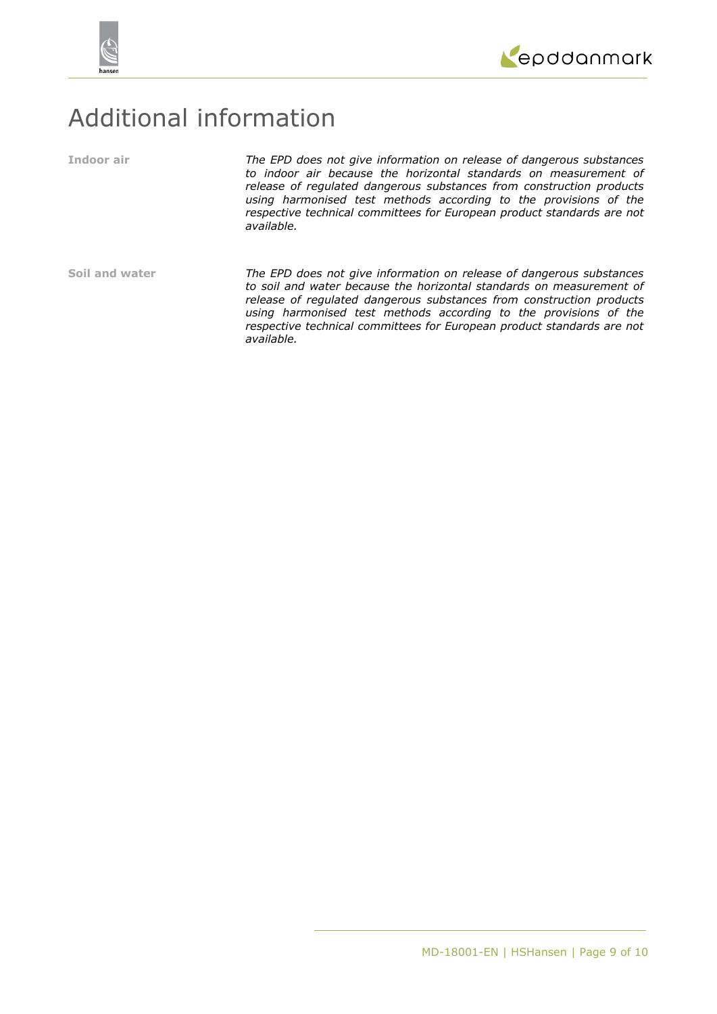



## Additional information

**Indoor air** *The EPD does not give information on release of dangerous substances to indoor air because the horizontal standards on measurement of release of regulated dangerous substances from construction products using harmonised test methods according to the provisions of the respective technical committees for European product standards are not available.*

**Soil and water** *The EPD does not give information on release of dangerous substances to soil and water because the horizontal standards on measurement of release of regulated dangerous substances from construction products using harmonised test methods according to the provisions of the respective technical committees for European product standards are not available.*